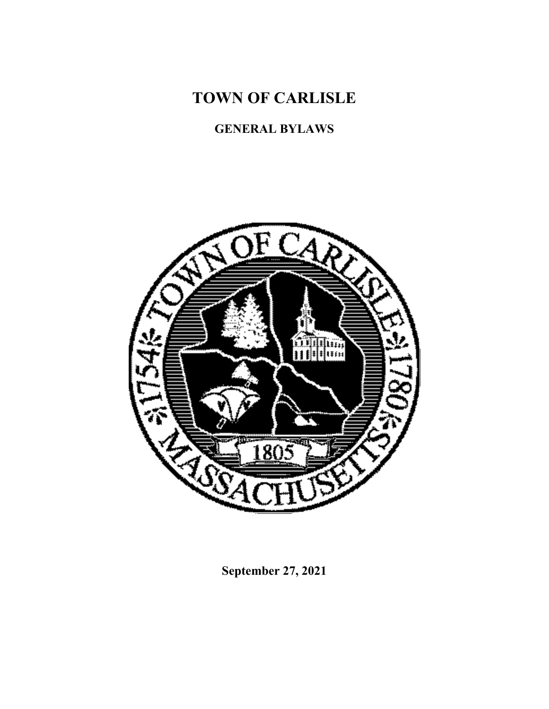**TOWN OF CARLISLE**

# **GENERAL BYLAWS**



**September 27, 2021**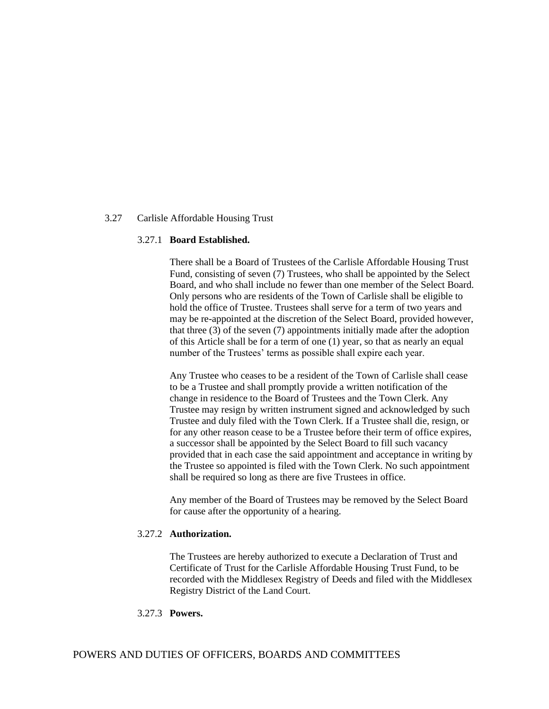## 3.27 Carlisle Affordable Housing Trust

#### 3.27.1 **Board Established.**

There shall be a Board of Trustees of the Carlisle Affordable Housing Trust Fund, consisting of seven (7) Trustees, who shall be appointed by the Select Board, and who shall include no fewer than one member of the Select Board. Only persons who are residents of the Town of Carlisle shall be eligible to hold the office of Trustee. Trustees shall serve for a term of two years and may be re-appointed at the discretion of the Select Board, provided however, that three (3) of the seven (7) appointments initially made after the adoption of this Article shall be for a term of one (1) year, so that as nearly an equal number of the Trustees' terms as possible shall expire each year.

Any Trustee who ceases to be a resident of the Town of Carlisle shall cease to be a Trustee and shall promptly provide a written notification of the change in residence to the Board of Trustees and the Town Clerk. Any Trustee may resign by written instrument signed and acknowledged by such Trustee and duly filed with the Town Clerk. If a Trustee shall die, resign, or for any other reason cease to be a Trustee before their term of office expires, a successor shall be appointed by the Select Board to fill such vacancy provided that in each case the said appointment and acceptance in writing by the Trustee so appointed is filed with the Town Clerk. No such appointment shall be required so long as there are five Trustees in office.

Any member of the Board of Trustees may be removed by the Select Board for cause after the opportunity of a hearing.

## 3.27.2 **Authorization.**

The Trustees are hereby authorized to execute a Declaration of Trust and Certificate of Trust for the Carlisle Affordable Housing Trust Fund, to be recorded with the Middlesex Registry of Deeds and filed with the Middlesex Registry District of the Land Court.

## 3.27.3 **Powers.**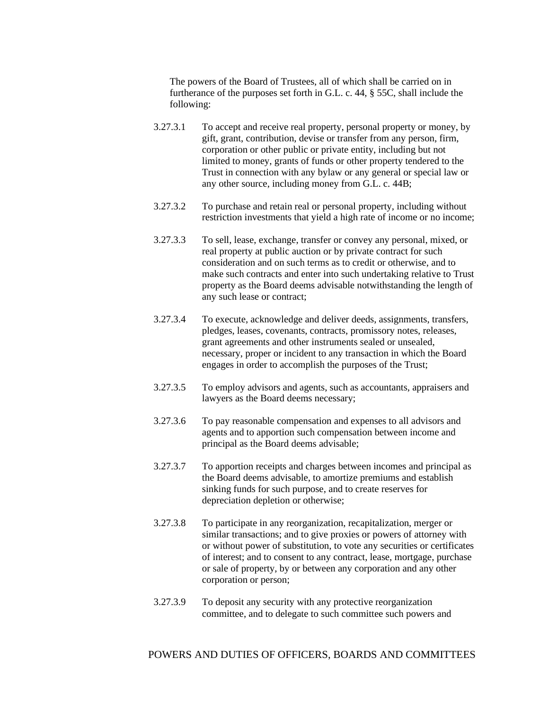The powers of the Board of Trustees, all of which shall be carried on in furtherance of the purposes set forth in G.L. c. 44, § 55C, shall include the following:

- 3.27.3.1 To accept and receive real property, personal property or money, by gift, grant, contribution, devise or transfer from any person, firm, corporation or other public or private entity, including but not limited to money, grants of funds or other property tendered to the Trust in connection with any bylaw or any general or special law or any other source, including money from G.L. c. 44B;
- 3.27.3.2 To purchase and retain real or personal property, including without restriction investments that yield a high rate of income or no income;
- 3.27.3.3 To sell, lease, exchange, transfer or convey any personal, mixed, or real property at public auction or by private contract for such consideration and on such terms as to credit or otherwise, and to make such contracts and enter into such undertaking relative to Trust property as the Board deems advisable notwithstanding the length of any such lease or contract;
- 3.27.3.4 To execute, acknowledge and deliver deeds, assignments, transfers, pledges, leases, covenants, contracts, promissory notes, releases, grant agreements and other instruments sealed or unsealed, necessary, proper or incident to any transaction in which the Board engages in order to accomplish the purposes of the Trust;
- 3.27.3.5 To employ advisors and agents, such as accountants, appraisers and lawyers as the Board deems necessary;
- 3.27.3.6 To pay reasonable compensation and expenses to all advisors and agents and to apportion such compensation between income and principal as the Board deems advisable;
- 3.27.3.7 To apportion receipts and charges between incomes and principal as the Board deems advisable, to amortize premiums and establish sinking funds for such purpose, and to create reserves for depreciation depletion or otherwise;
- 3.27.3.8 To participate in any reorganization, recapitalization, merger or similar transactions; and to give proxies or powers of attorney with or without power of substitution, to vote any securities or certificates of interest; and to consent to any contract, lease, mortgage, purchase or sale of property, by or between any corporation and any other corporation or person;
- 3.27.3.9 To deposit any security with any protective reorganization committee, and to delegate to such committee such powers and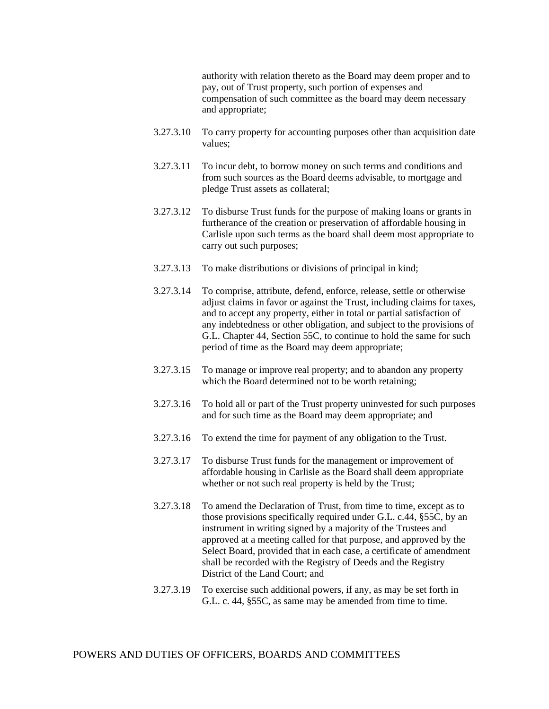authority with relation thereto as the Board may deem proper and to pay, out of Trust property, such portion of expenses and compensation of such committee as the board may deem necessary and appropriate;

- 3.27.3.10 To carry property for accounting purposes other than acquisition date values;
- 3.27.3.11 To incur debt, to borrow money on such terms and conditions and from such sources as the Board deems advisable, to mortgage and pledge Trust assets as collateral;
- 3.27.3.12 To disburse Trust funds for the purpose of making loans or grants in furtherance of the creation or preservation of affordable housing in Carlisle upon such terms as the board shall deem most appropriate to carry out such purposes;
- 3.27.3.13 To make distributions or divisions of principal in kind;
- 3.27.3.14 To comprise, attribute, defend, enforce, release, settle or otherwise adjust claims in favor or against the Trust, including claims for taxes, and to accept any property, either in total or partial satisfaction of any indebtedness or other obligation, and subject to the provisions of G.L. Chapter 44, Section 55C, to continue to hold the same for such period of time as the Board may deem appropriate;
- 3.27.3.15 To manage or improve real property; and to abandon any property which the Board determined not to be worth retaining;
- 3.27.3.16 To hold all or part of the Trust property uninvested for such purposes and for such time as the Board may deem appropriate; and
- 3.27.3.16 To extend the time for payment of any obligation to the Trust.
- 3.27.3.17 To disburse Trust funds for the management or improvement of affordable housing in Carlisle as the Board shall deem appropriate whether or not such real property is held by the Trust;
- 3.27.3.18 To amend the Declaration of Trust, from time to time, except as to those provisions specifically required under G.L. c.44, §55C, by an instrument in writing signed by a majority of the Trustees and approved at a meeting called for that purpose, and approved by the Select Board, provided that in each case, a certificate of amendment shall be recorded with the Registry of Deeds and the Registry District of the Land Court; and
- 3.27.3.19 To exercise such additional powers, if any, as may be set forth in G.L. c. 44, §55C, as same may be amended from time to time.